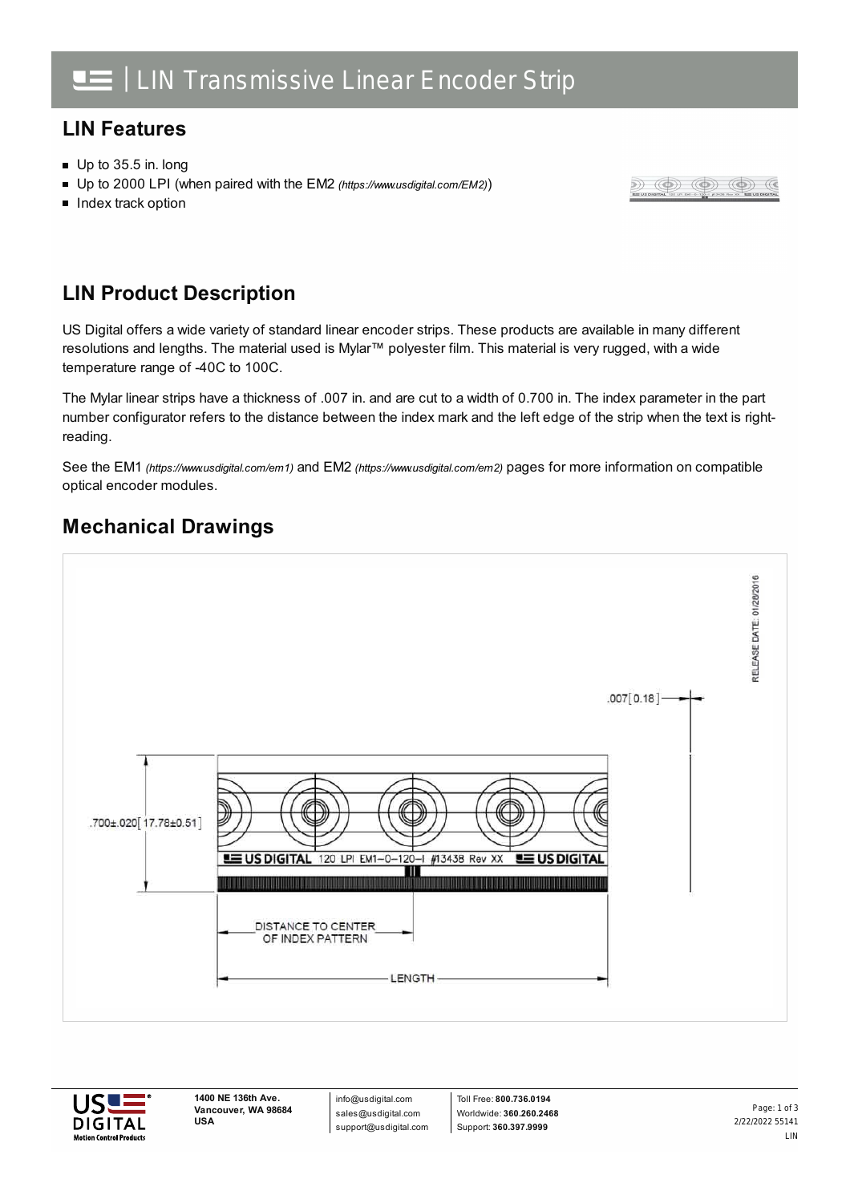### **LIN Features**

- Up to 35.5 in. long
- Up to 2000 LPI (when paired with the EM2 *[\(https://www.usdigital.com/EM2\)](https://www.usdigital.com/EM2)*)
- **Index track option**

#### $\circledast) \circledast) \circledast) \circledast) \circledast) \circledast$

#### **LIN Product Description**

US Digital offers a wide variety of standard linear encoder strips. These products are available in many different resolutions and lengths. The material used is Mylar™ polyester film. This material is very rugged, with a wide temperature range of -40C to 100C.

The Mylar linear strips have a thickness of .007 in. and are cut to a width of 0.700 in. The index parameter in the part number configurator refers to the distance between the index mark and the left edge of the strip when the text is rightreading.

See the EM1 *[\(https://www.usdigital.com/em1\)](https://www.usdigital.com/em1)* and EM2 *[\(https://www.usdigital.com/em2\)](https://www.usdigital.com/em2)* pages for more information on compatible optical encoder modules.

## **Mechanical Drawings**





info@usdigital.com sales@usdigital.com support@usdigital.com

Toll Free: **800.736.0194** Worldwide: **360.260.2468** Support: **360.397.9999**

2/22/2022 55141 LIN Page: 1 of 3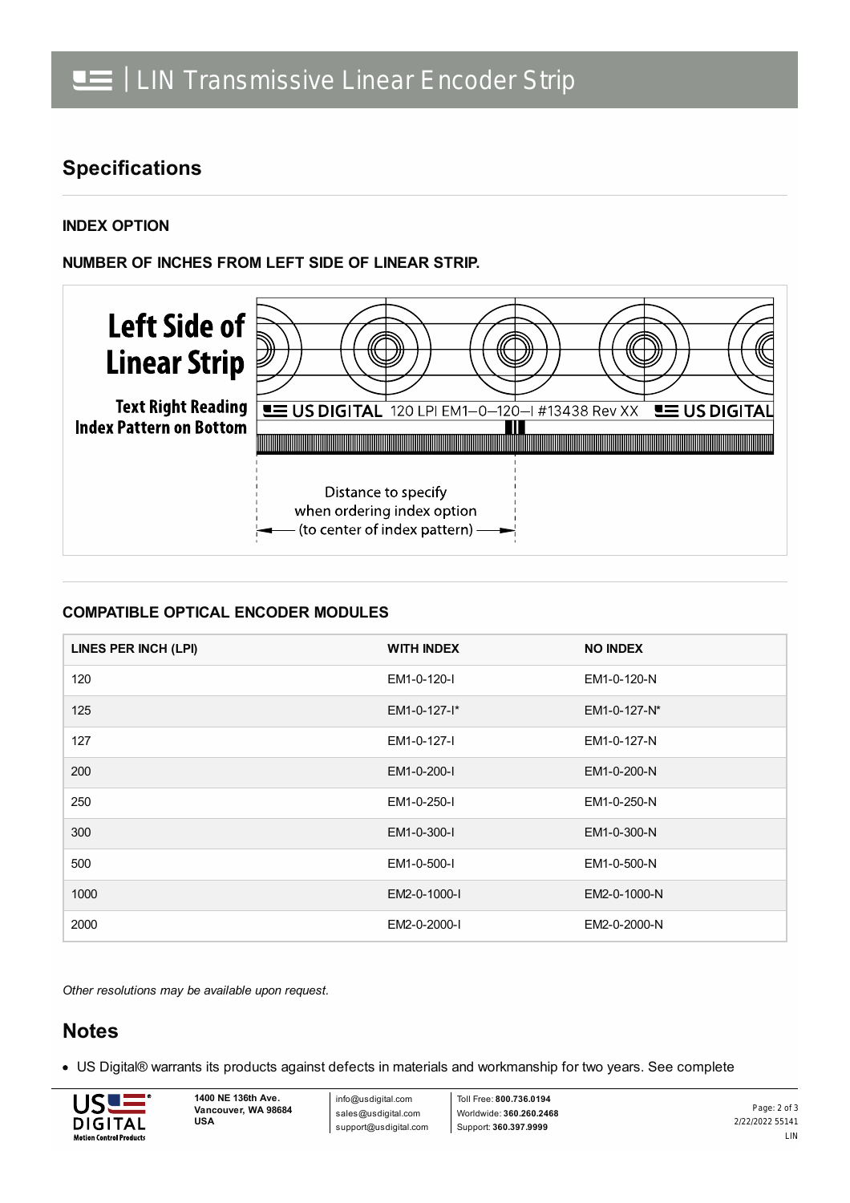### **Specifications**

**INDEX OPTION**

**NUMBER OF INCHES FROM LEFT SIDE OF LINEAR STRIP.**



#### **COMPATIBLE OPTICAL ENCODER MODULES**

| LINES PER INCH (LPI) | <b>WITH INDEX</b> | <b>NO INDEX</b> |
|----------------------|-------------------|-----------------|
| 120                  | EM1-0-120-I       | EM1-0-120-N     |
| 125                  | EM1-0-127-I*      | EM1-0-127-N*    |
| 127                  | EM1-0-127-I       | EM1-0-127-N     |
| 200                  | EM1-0-200-I       | EM1-0-200-N     |
| 250                  | EM1-0-250-I       | EM1-0-250-N     |
| 300                  | EM1-0-300-I       | EM1-0-300-N     |
| 500                  | EM1-0-500-I       | EM1-0-500-N     |
| 1000                 | EM2-0-1000-I      | EM2-0-1000-N    |
| 2000                 | EM2-0-2000-I      | EM2-0-2000-N    |

*Other resolutions may be available upon request.*

#### **Notes**

US Digital® warrants its products against defects in materials and workmanship for two years. See complete



info@usdigital.com sales@usdigital.com support@usdigital.com

Toll Free: **800.736.0194** Worldwide: **360.260.2468** Support: **360.397.9999**